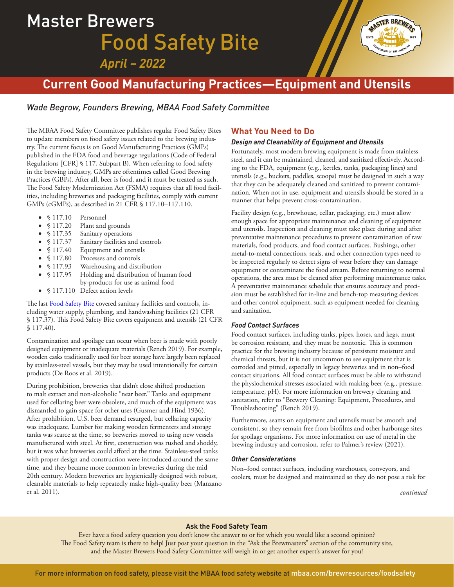# Master Brewers Food Safety Bite *April – 2022*



# **Current Good Manufacturing Practices—Equipment and Utensils**

## *Wade Begrow, Founders Brewing, MBAA Food Safety Committee*

The MBAA Food Safety Committee publishes regular Food Safety Bites to update members on food safety issues related to the brewing industry. The current focus is on Good Manufacturing Practices (GMPs) published in the FDA food and beverage regulations (Code of Federal Regulations [CFR] § 117, Subpart B). When referring to food safety in the brewing industry, GMPs are oftentimes called Good Brewing Practices (GBPs). After all, beer is food, and it must be treated as such. The Food Safety Modernization Act (FSMA) requires that all food facilities, including breweries and packaging facilities, comply with current GMPs (cGMPs), as described in 21 CFR § 117.10–117.110.

- § 117.10 Personnel
- § 117.20 Plant and grounds
- § 117.35 Sanitary operations
- § 117.37 Sanitary facilities and controls
- § 117.40 Equipment and utensils
- § 117.80 Processes and controls<br>§ 117.93 Warehousing and distr
- § 117.93 Warehousing and distribution<br>§ 117.95 Holding and distribution of hi
- Holding and distribution of human food
- by-products for use as animal food
- § 117.110 Defect action levels

The last [Food Safety Bite](https://www.mbaa.com/brewresources/foodsafety/Documents/Current%20Good%20Manufacturing%20Practices--Sanitary%20Operations.pdf) covered sanitary facilities and controls, including water supply, plumbing, and handwashing facilities (21 CFR § 117.37). This Food Safety Bite covers equipment and utensils (21 CFR § 117.40).

Contamination and spoilage can occur when beer is made with poorly designed equipment or inadequate materials (Rench 2019). For example, wooden casks traditionally used for beer storage have largely been replaced by stainless-steel vessels, but they may be used intentionally for certain products (De Roos et al. 2019).

During prohibition, breweries that didn't close shifted production to malt extract and non-alcoholic "near beer." Tanks and equipment used for cellaring beer were obsolete, and much of the equipment was dismantled to gain space for other uses (Gusmer and Hind 1936). After prohibition, U.S. beer demand resurged, but cellaring capacity was inadequate. Lumber for making wooden fermenters and storage tanks was scarce at the time, so breweries moved to using new vessels manufactured with steel. At first, construction was rushed and shoddy, but it was what breweries could afford at the time. Stainless-steel tanks with proper design and construction were introduced around the same time, and they became more common in breweries during the mid 20th century. Modern breweries are hygienically designed with robust, cleanable materials to help repeatedly make high-quality beer (Manzano et al. 2011).

### **What You Need to Do**

#### *Design and Cleanability of Equipment and Utensils*

Fortunately, most modern brewing equipment is made from stainless steel, and it can be maintained, cleaned, and sanitized effectively. According to the FDA, equipment (e.g., kettles, tanks, packaging lines) and utensils (e.g., buckets, paddles, scoops) must be designed in such a way that they can be adequately cleaned and sanitized to prevent contamination. When not in use, equipment and utensils should be stored in a manner that helps prevent cross-contamination.

Facility design (e.g., brewhouse, cellar, packaging, etc.) must allow enough space for appropriate maintenance and cleaning of equipment and utensils. Inspection and cleaning must take place during and after preventative maintenance procedures to prevent contamination of raw materials, food products, and food contact surfaces. Bushings, other metal-to-metal connections, seals, and other connection types need to be inspected regularly to detect signs of wear before they can damage equipment or contaminate the food stream. Before returning to normal operations, the area must be cleaned after performing maintenance tasks. A preventative maintenance schedule that ensures accuracy and precision must be established for in-line and bench-top measuring devices and other control equipment, such as equipment needed for cleaning and sanitation.

#### *Food Contact Surfaces*

Food contact surfaces, including tanks, pipes, hoses, and kegs, must be corrosion resistant, and they must be nontoxic. This is common practice for the brewing industry because of persistent moisture and chemical threats, but it is not uncommon to see equipment that is corroded and pitted, especially in legacy breweries and in non–food contact situations. All food contact surfaces must be able to withstand the physiochemical stresses associated with making beer (e.g., pressure, temperature, pH). For more information on brewery cleaning and sanitation, refer to "Brewery Cleaning: Equipment, Procedures, and Troubleshooting" (Rench 2019).

Furthermore, seams on equipment and utensils must be smooth and consistent, so they remain free from biofilms and other harborage sites for spoilage organisms. For more information on use of metal in the brewing industry and corrosion, refer to Palmer's review (2021).

#### *Other Considerations*

Non–food contact surfaces, including warehouses, conveyors, and coolers, must be designed and maintained so they do not pose a risk for

*continued*

#### **Ask the Food Safety Team**

Ever have a food safety question you don't know the answer to or for which you would like a second opinion? The Food Safety team is there to help! Just post your question in the "Ask the Brewmasters" section of the community site, and the Master Brewers Food Safety Committee will weigh in or get another expert's answer for you!